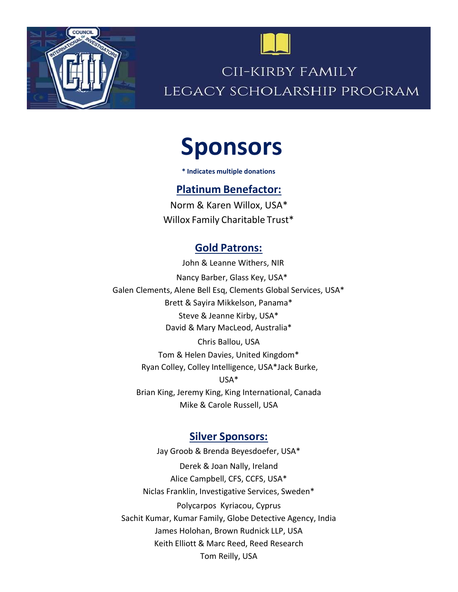



## CII-KIRBY FAMILY LEGACY SCHOLARSHIP PROGRAM

# Sponsors

\* Indicates multiple donations

#### Platinum Benefactor:

Norm & Karen Willox, USA\* Willox Family Charitable Trust\*

### Gold Patrons:

 John & Leanne Withers, NIR Nancy Barber, Glass Key, USA\* Galen Clements, Alene Bell Esq, Clements Global Services, USA\* Brett & Sayira Mikkelson, Panama\* Steve & Jeanne Kirby, USA\* David & Mary MacLeod, Australia\* Chris Ballou, USA Tom & Helen Davies, United Kingdom\* Ryan Colley, Colley Intelligence, USA\* Jack Burke, USA\*

Brian King, Jeremy King, King International, Canada Mike & Carole Russell, USA

#### Silver Sponsors:

Jay Groob & Brenda Beyesdoefer, USA\* Derek & Joan Nally, Ireland Alice Campbell, CFS, CCFS, USA\* Niclas Franklin, Investigative Services, Sweden\* Polycarpos Kyriacou, Cyprus Sachit Kumar, Kumar Family, Globe Detective Agency, India James Holohan, Brown Rudnick LLP, USA Keith Elliott & Marc Reed, Reed Research Tom Reilly, USA